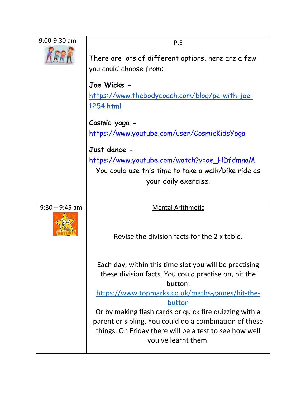| $9:00 - 9:30$ am | P.E                                                                                                                                                                                                         |  |  |
|------------------|-------------------------------------------------------------------------------------------------------------------------------------------------------------------------------------------------------------|--|--|
|                  | There are lots of different options, here are a few<br>you could choose from:                                                                                                                               |  |  |
|                  | Joe Wicks -                                                                                                                                                                                                 |  |  |
|                  | <u>https://www.thebodycoach.com/blog/pe-with-joe-</u>                                                                                                                                                       |  |  |
|                  | 1254.html                                                                                                                                                                                                   |  |  |
|                  | Cosmic yoga -<br><u> https://www.youtube.com/user/CosmicKidsYoga</u>                                                                                                                                        |  |  |
|                  |                                                                                                                                                                                                             |  |  |
|                  | Just dance -<br><u> https://www.youtube.com/watch?v=oe_HDfdmnaM</u>                                                                                                                                         |  |  |
|                  | You could use this time to take a walk/bike ride as                                                                                                                                                         |  |  |
|                  | your daily exercise.                                                                                                                                                                                        |  |  |
|                  |                                                                                                                                                                                                             |  |  |
| $9:30 - 9:45$ am | <b>Mental Arithmetic</b>                                                                                                                                                                                    |  |  |
|                  | Revise the division facts for the 2 x table.                                                                                                                                                                |  |  |
|                  | Each day, within this time slot you will be practising<br>these division facts. You could practise on, hit the<br>button:                                                                                   |  |  |
|                  | https://www.topmarks.co.uk/maths-games/hit-the-                                                                                                                                                             |  |  |
|                  | button<br>Or by making flash cards or quick fire quizzing with a<br>parent or sibling. You could do a combination of these<br>things. On Friday there will be a test to see how well<br>you've learnt them. |  |  |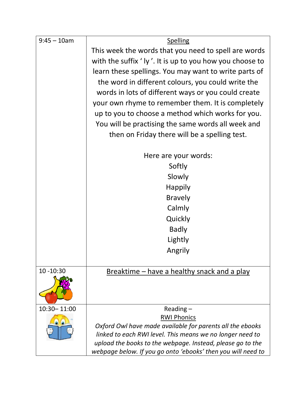| $9:45 - 10$ am | Spelling                                                     |  |  |  |
|----------------|--------------------------------------------------------------|--|--|--|
|                | This week the words that you need to spell are words         |  |  |  |
|                | with the suffix 'ly'. It is up to you how you choose to      |  |  |  |
|                | learn these spellings. You may want to write parts of        |  |  |  |
|                | the word in different colours, you could write the           |  |  |  |
|                | words in lots of different ways or you could create          |  |  |  |
|                | your own rhyme to remember them. It is completely            |  |  |  |
|                | up to you to choose a method which works for you.            |  |  |  |
|                | You will be practising the same words all week and           |  |  |  |
|                | then on Friday there will be a spelling test.                |  |  |  |
|                |                                                              |  |  |  |
|                | Here are your words:                                         |  |  |  |
|                | Softly                                                       |  |  |  |
|                | Slowly                                                       |  |  |  |
|                | <b>Happily</b>                                               |  |  |  |
|                | <b>Bravely</b>                                               |  |  |  |
|                | Calmly                                                       |  |  |  |
|                | Quickly                                                      |  |  |  |
|                | <b>Badly</b>                                                 |  |  |  |
|                | Lightly                                                      |  |  |  |
|                | Angrily                                                      |  |  |  |
|                |                                                              |  |  |  |
| $10 - 10:30$   | Breaktime – have a healthy snack and a play                  |  |  |  |
| 10:30 - 11:00  | Reading $-$                                                  |  |  |  |
|                | <b>RWI Phonics</b>                                           |  |  |  |
|                | Oxford Owl have made available for parents all the ebooks    |  |  |  |
|                | linked to each RWI level. This means we no longer need to    |  |  |  |
|                | upload the books to the webpage. Instead, please go to the   |  |  |  |
|                | webpage below. If you go onto 'ebooks' then you will need to |  |  |  |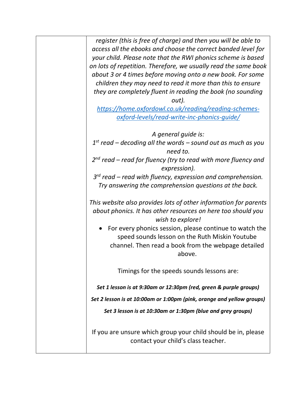*register (this is free of charge) and then you will be able to access all the ebooks and choose the correct banded level for your child. Please note that the RWI phonics scheme is based on lots of repetition. Therefore, we usually read the same book about 3 or 4 times before moving onto a new book. For some children they may need to read it more than this to ensure they are completely fluent in reading the book (no sounding out).*

*[https://home.oxfordowl.co.uk/reading/reading-schemes](https://home.oxfordowl.co.uk/reading/reading-schemes-oxford-levels/read-write-inc-phonics-guide/#_blank)[oxford-levels/read-write-inc-phonics-guide/](https://home.oxfordowl.co.uk/reading/reading-schemes-oxford-levels/read-write-inc-phonics-guide/#_blank)*

*A general guide is:*

*1 st read – decoding all the words – sound out as much as you need to.*

*2 nd read – read for fluency (try to read with more fluency and expression).*

*3 rd read – read with fluency, expression and comprehension. Try answering the comprehension questions at the back.*

*This website also provides lots of other information for parents about phonics. It has other resources on here too should you wish to explore!*

• For every phonics session, please continue to watch the speed sounds lesson on the Ruth Miskin Youtube channel. Then read a book from the webpage detailed above.

Timings for the speeds sounds lessons are:

*Set 1 lesson is at 9:30am or 12:30pm (red, green & purple groups)*

*Set 2 lesson is at 10:00am or 1:00pm (pink, orange and yellow groups)*

*Set 3 lesson is at 10:30am or 1:30pm (blue and grey groups)*

If you are unsure which group your child should be in, please contact your child's class teacher.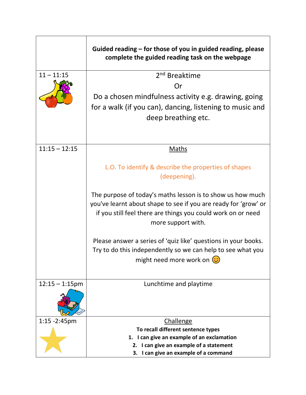|                   | Guided reading – for those of you in guided reading, please<br>complete the guided reading task on the webpage |  |  |
|-------------------|----------------------------------------------------------------------------------------------------------------|--|--|
| $11 - 11:15$      | 2 <sup>nd</sup> Breaktime                                                                                      |  |  |
|                   | Or                                                                                                             |  |  |
|                   | Do a chosen mindfulness activity e.g. drawing, going                                                           |  |  |
|                   | for a walk (if you can), dancing, listening to music and                                                       |  |  |
|                   | deep breathing etc.                                                                                            |  |  |
|                   |                                                                                                                |  |  |
|                   |                                                                                                                |  |  |
| $11:15 - 12:15$   | <b>Maths</b>                                                                                                   |  |  |
|                   | L.O. To identify & describe the properties of shapes                                                           |  |  |
|                   | (deepening).                                                                                                   |  |  |
|                   |                                                                                                                |  |  |
|                   | The purpose of today's maths lesson is to show us how much                                                     |  |  |
|                   | you've learnt about shape to see if you are ready for 'grow' or                                                |  |  |
|                   | if you still feel there are things you could work on or need                                                   |  |  |
|                   | more support with.                                                                                             |  |  |
|                   | Please answer a series of 'quiz like' questions in your books.                                                 |  |  |
|                   | Try to do this independently so we can help to see what you                                                    |  |  |
|                   | might need more work on $\circled{c}$                                                                          |  |  |
|                   |                                                                                                                |  |  |
| $12:15 - 1:15$ pm | Lunchtime and playtime                                                                                         |  |  |
|                   |                                                                                                                |  |  |
|                   |                                                                                                                |  |  |
|                   |                                                                                                                |  |  |
| 1:15 - 2:45pm     | <b>Challenge</b>                                                                                               |  |  |
|                   | To recall different sentence types                                                                             |  |  |
|                   | I can give an example of an exclamation<br>1.<br>2. I can give an example of a statement                       |  |  |
|                   | 3. I can give an example of a command                                                                          |  |  |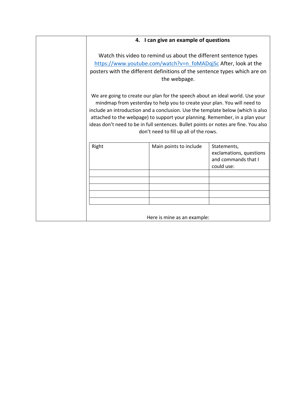## **4. I can give an example of questions**

Watch this video to remind us about the different sentence types [https://www.youtube.com/watch?v=n\\_foMADqjSc](https://www.youtube.com/watch?v=n_foMADqjSc) After, look at the posters with the different definitions of the sentence types which are on the webpage.

We are going to create our plan for the speech about an ideal world. Use your mindmap from yesterday to help you to create your plan. You will need to include an introduction and a conclusion. Use the template below (which is also attached to the webpage) to support your planning. Remember, in a plan your ideas don't need to be in full sentences. Bullet points or notes are fine. You also don't need to fill up all of the rows.

|  | and commands that I<br>could use: |
|--|-----------------------------------|
|  |                                   |
|  |                                   |
|  |                                   |
|  |                                   |
|  |                                   |